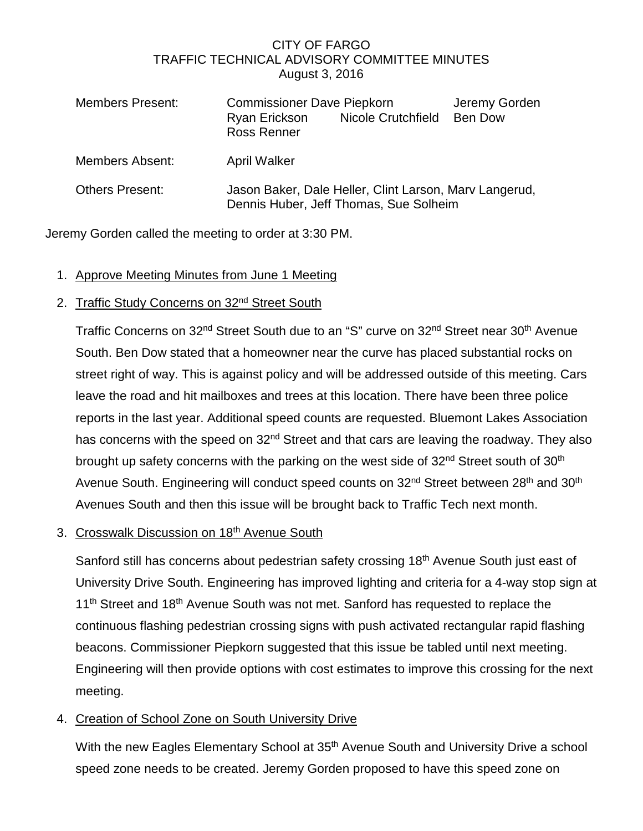## CITY OF FARGO TRAFFIC TECHNICAL ADVISORY COMMITTEE MINUTES August 3, 2016

| <b>Members Present:</b> | <b>Commissioner Dave Piepkorn</b><br>Ryan Erickson<br><b>Ross Renner</b>                         | Nicole Crutchfield | Jeremy Gorden<br>Ben Dow |
|-------------------------|--------------------------------------------------------------------------------------------------|--------------------|--------------------------|
| <b>Members Absent:</b>  | <b>April Walker</b>                                                                              |                    |                          |
| <b>Others Present:</b>  | Jason Baker, Dale Heller, Clint Larson, Mary Langerud,<br>Dennis Huber, Jeff Thomas, Sue Solheim |                    |                          |

Jeremy Gorden called the meeting to order at 3:30 PM.

1. Approve Meeting Minutes from June 1 Meeting

## 2. Traffic Study Concerns on 32<sup>nd</sup> Street South

Traffic Concerns on 32<sup>nd</sup> Street South due to an "S" curve on 32<sup>nd</sup> Street near 30<sup>th</sup> Avenue South. Ben Dow stated that a homeowner near the curve has placed substantial rocks on street right of way. This is against policy and will be addressed outside of this meeting. Cars leave the road and hit mailboxes and trees at this location. There have been three police reports in the last year. Additional speed counts are requested. Bluemont Lakes Association has concerns with the speed on 32<sup>nd</sup> Street and that cars are leaving the roadway. They also brought up safety concerns with the parking on the west side of 32<sup>nd</sup> Street south of 30<sup>th</sup> Avenue South. Engineering will conduct speed counts on 32<sup>nd</sup> Street between 28<sup>th</sup> and 30<sup>th</sup> Avenues South and then this issue will be brought back to Traffic Tech next month.

## 3. Crosswalk Discussion on 18th Avenue South

Sanford still has concerns about pedestrian safety crossing 18<sup>th</sup> Avenue South just east of University Drive South. Engineering has improved lighting and criteria for a 4-way stop sign at 11<sup>th</sup> Street and 18<sup>th</sup> Avenue South was not met. Sanford has requested to replace the continuous flashing pedestrian crossing signs with push activated rectangular rapid flashing beacons. Commissioner Piepkorn suggested that this issue be tabled until next meeting. Engineering will then provide options with cost estimates to improve this crossing for the next meeting.

## 4. Creation of School Zone on South University Drive

With the new Eagles Elementary School at 35<sup>th</sup> Avenue South and University Drive a school speed zone needs to be created. Jeremy Gorden proposed to have this speed zone on